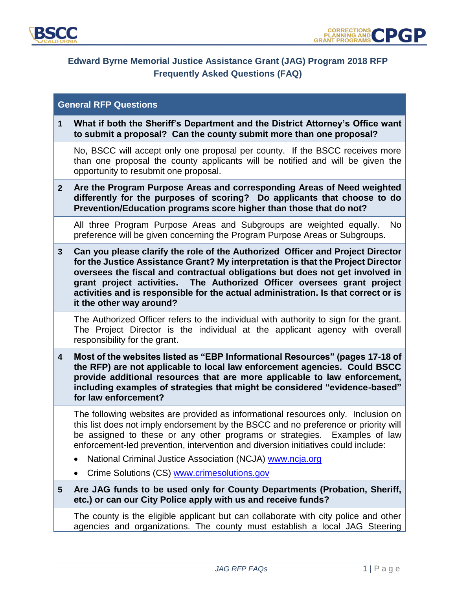

# **Edward Byrne Memorial Justice Assistance Grant (JAG) Program 2018 RFP Frequently Asked Questions (FAQ)**

# **General RFP Questions**

**1 What if both the Sheriff's Department and the District Attorney's Office want to submit a proposal? Can the county submit more than one proposal?**

No, BSCC will accept only one proposal per county. If the BSCC receives more than one proposal the county applicants will be notified and will be given the opportunity to resubmit one proposal.

**2 Are the Program Purpose Areas and corresponding Areas of Need weighted differently for the purposes of scoring? Do applicants that choose to do Prevention/Education programs score higher than those that do not?**

All three Program Purpose Areas and Subgroups are weighted equally. No preference will be given concerning the Program Purpose Areas or Subgroups.

**3 Can you please clarify the role of the Authorized Officer and Project Director for the Justice Assistance Grant? My interpretation is that the Project Director oversees the fiscal and contractual obligations but does not get involved in grant project activities. The Authorized Officer oversees grant project activities and is responsible for the actual administration. Is that correct or is it the other way around?** 

The Authorized Officer refers to the individual with authority to sign for the grant. The Project Director is the individual at the applicant agency with overall responsibility for the grant.

**4 Most of the websites listed as "EBP Informational Resources" (pages 17-18 of the RFP) are not applicable to local law enforcement agencies. Could BSCC provide additional resources that are more applicable to law enforcement, including examples of strategies that might be considered "evidence-based" for law enforcement?** 

The following websites are provided as informational resources only. Inclusion on this list does not imply endorsement by the BSCC and no preference or priority will be assigned to these or any other programs or strategies. Examples of law enforcement-led prevention, intervention and diversion initiatives could include:

- National Criminal Justice Association (NCJA) [www.ncja.org](http://www.ncja.org/)
- Crime Solutions (CS) [www.crimesolutions.gov](http://www.crimesolutions.gov/)
- **5 Are JAG funds to be used only for County Departments (Probation, Sheriff, etc.) or can our City Police apply with us and receive funds?**

The county is the eligible applicant but can collaborate with city police and other agencies and organizations. The county must establish a local JAG Steering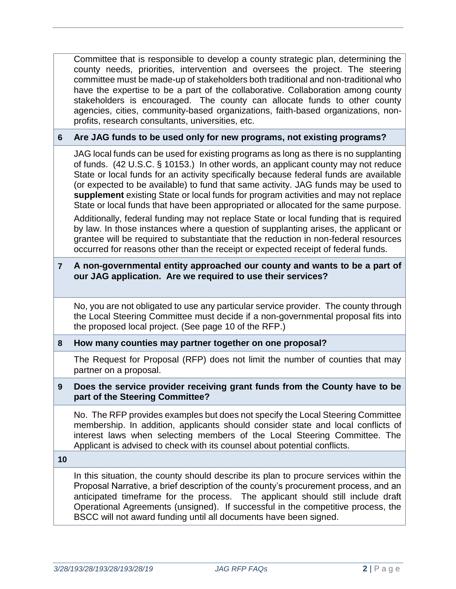Committee that is responsible to develop a county strategic plan, determining the county needs, priorities, intervention and oversees the project. The steering committee must be made-up of stakeholders both traditional and non-traditional who have the expertise to be a part of the collaborative. Collaboration among county stakeholders is encouraged. The county can allocate funds to other county agencies, cities, community-based organizations, faith-based organizations, nonprofits, research consultants, universities, etc.

# **6 Are JAG funds to be used only for new programs, not existing programs?**

JAG local funds can be used for existing programs as long as there is no supplanting of funds. (42 U.S.C. § 10153.) In other words, an applicant county may not reduce State or local funds for an activity specifically because federal funds are available (or expected to be available) to fund that same activity. JAG funds may be used to **supplement** existing State or local funds for program activities and may not replace State or local funds that have been appropriated or allocated for the same purpose.

Additionally, federal funding may not replace State or local funding that is required by law. In those instances where a question of supplanting arises, the applicant or grantee will be required to substantiate that the reduction in non-federal resources occurred for reasons other than the receipt or expected receipt of federal funds.

# **7 A non-governmental entity approached our county and wants to be a part of our JAG application. Are we required to use their services?**

No, you are not obligated to use any particular service provider. The county through the Local Steering Committee must decide if a non-governmental proposal fits into the proposed local project. (See page 10 of the RFP.)

#### **8 How many counties may partner together on one proposal?**

The Request for Proposal (RFP) does not limit the number of counties that may partner on a proposal.

#### **9 Does the service provider receiving grant funds from the County have to be part of the Steering Committee?**

No. The RFP provides examples but does not specify the Local Steering Committee membership. In addition, applicants should consider state and local conflicts of interest laws when selecting members of the Local Steering Committee. The Applicant is advised to check with its counsel about potential conflicts.

**10**

In this situation, the county should describe its plan to procure services within the Proposal Narrative, a brief description of the county's procurement process, and an anticipated timeframe for the process. The applicant should still include draft Operational Agreements (unsigned). If successful in the competitive process, the BSCC will not award funding until all documents have been signed.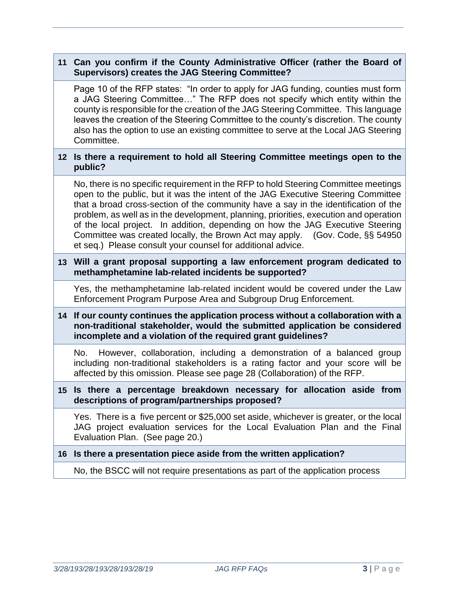# **11 Can you confirm if the County Administrative Officer (rather the Board of Supervisors) creates the JAG Steering Committee?**

Page 10 of the RFP states: "In order to apply for JAG funding, counties must form a JAG Steering Committee…" The RFP does not specify which entity within the county is responsible for the creation of the JAG Steering Committee. This language leaves the creation of the Steering Committee to the county's discretion. The county also has the option to use an existing committee to serve at the Local JAG Steering Committee.

### **12 Is there a requirement to hold all Steering Committee meetings open to the public?**

No, there is no specific requirement in the RFP to hold Steering Committee meetings open to the public, but it was the intent of the JAG Executive Steering Committee that a broad cross-section of the community have a say in the identification of the problem, as well as in the development, planning, priorities, execution and operation of the local project. In addition, depending on how the JAG Executive Steering Committee was created locally, the Brown Act may apply. (Gov. Code, §§ 54950 et seq.) Please consult your counsel for additional advice.

# **13 Will a grant proposal supporting a law enforcement program dedicated to methamphetamine lab-related incidents be supported?**

Yes, the methamphetamine lab-related incident would be covered under the Law Enforcement Program Purpose Area and Subgroup Drug Enforcement.

# **14 If our county continues the application process without a collaboration with a non-traditional stakeholder, would the submitted application be considered incomplete and a violation of the required grant guidelines?**

No. However, collaboration, including a demonstration of a balanced group including non-traditional stakeholders is a rating factor and your score will be affected by this omission. Please see page 28 (Collaboration) of the RFP.

#### **15 Is there a percentage breakdown necessary for allocation aside from descriptions of program/partnerships proposed?**

Yes. There is a five percent or \$25,000 set aside, whichever is greater, or the local JAG project evaluation services for the Local Evaluation Plan and the Final Evaluation Plan. (See page 20.)

# **16 Is there a presentation piece aside from the written application?**

No, the BSCC will not require presentations as part of the application process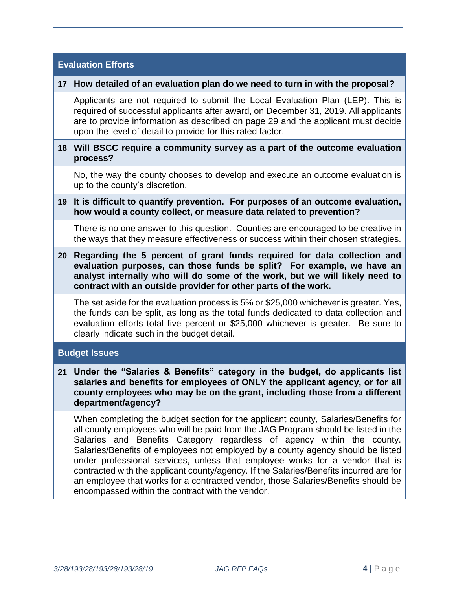| <b>Evaluation Efforts</b> |                                                                                                                                                                                                                                                                                                                                                                                                                                                                                                                                                                                                      |
|---------------------------|------------------------------------------------------------------------------------------------------------------------------------------------------------------------------------------------------------------------------------------------------------------------------------------------------------------------------------------------------------------------------------------------------------------------------------------------------------------------------------------------------------------------------------------------------------------------------------------------------|
|                           | 17 How detailed of an evaluation plan do we need to turn in with the proposal?                                                                                                                                                                                                                                                                                                                                                                                                                                                                                                                       |
|                           | Applicants are not required to submit the Local Evaluation Plan (LEP). This is<br>required of successful applicants after award, on December 31, 2019. All applicants<br>are to provide information as described on page 29 and the applicant must decide<br>upon the level of detail to provide for this rated factor.                                                                                                                                                                                                                                                                              |
|                           | 18 Will BSCC require a community survey as a part of the outcome evaluation<br>process?                                                                                                                                                                                                                                                                                                                                                                                                                                                                                                              |
|                           | No, the way the county chooses to develop and execute an outcome evaluation is<br>up to the county's discretion.                                                                                                                                                                                                                                                                                                                                                                                                                                                                                     |
| 19                        | It is difficult to quantify prevention. For purposes of an outcome evaluation,<br>how would a county collect, or measure data related to prevention?                                                                                                                                                                                                                                                                                                                                                                                                                                                 |
|                           | There is no one answer to this question. Counties are encouraged to be creative in<br>the ways that they measure effectiveness or success within their chosen strategies.                                                                                                                                                                                                                                                                                                                                                                                                                            |
| 20                        | Regarding the 5 percent of grant funds required for data collection and<br>evaluation purposes, can those funds be split? For example, we have an<br>analyst internally who will do some of the work, but we will likely need to<br>contract with an outside provider for other parts of the work.                                                                                                                                                                                                                                                                                                   |
|                           | The set aside for the evaluation process is 5% or \$25,000 whichever is greater. Yes,<br>the funds can be split, as long as the total funds dedicated to data collection and<br>evaluation efforts total five percent or \$25,000 whichever is greater. Be sure to<br>clearly indicate such in the budget detail.                                                                                                                                                                                                                                                                                    |
| <b>Budget Issues</b>      |                                                                                                                                                                                                                                                                                                                                                                                                                                                                                                                                                                                                      |
|                           | 21 Under the "Salaries & Benefits" category in the budget, do applicants list<br>salaries and benefits for employees of ONLY the applicant agency, or for all<br>county employees who may be on the grant, including those from a different<br>department/agency?                                                                                                                                                                                                                                                                                                                                    |
|                           | When completing the budget section for the applicant county, Salaries/Benefits for<br>all county employees who will be paid from the JAG Program should be listed in the<br>Salaries and Benefits Category regardless of agency within the county.<br>Salaries/Benefits of employees not employed by a county agency should be listed<br>under professional services, unless that employee works for a vendor that is<br>contracted with the applicant county/agency. If the Salaries/Benefits incurred are for<br>an employee that works for a contracted vendor, those Salaries/Benefits should be |

encompassed within the contract with the vendor.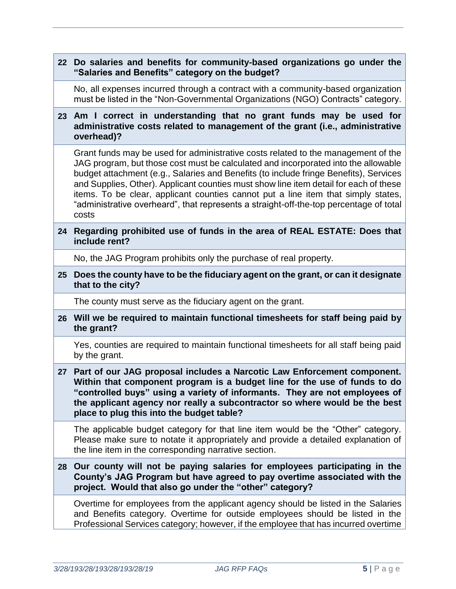|                 | 22 Do salaries and benefits for community-based organizations go under the<br>"Salaries and Benefits" category on the budget?                                                                                                                                                                                                                                                                                                                                                                                                                     |
|-----------------|---------------------------------------------------------------------------------------------------------------------------------------------------------------------------------------------------------------------------------------------------------------------------------------------------------------------------------------------------------------------------------------------------------------------------------------------------------------------------------------------------------------------------------------------------|
|                 | No, all expenses incurred through a contract with a community-based organization<br>must be listed in the "Non-Governmental Organizations (NGO) Contracts" category.                                                                                                                                                                                                                                                                                                                                                                              |
| 23 <sub>2</sub> | Am I correct in understanding that no grant funds may be used for<br>administrative costs related to management of the grant (i.e., administrative<br>overhead)?                                                                                                                                                                                                                                                                                                                                                                                  |
|                 | Grant funds may be used for administrative costs related to the management of the<br>JAG program, but those cost must be calculated and incorporated into the allowable<br>budget attachment (e.g., Salaries and Benefits (to include fringe Benefits), Services<br>and Supplies, Other). Applicant counties must show line item detail for each of these<br>items. To be clear, applicant counties cannot put a line item that simply states,<br>"administrative overheard", that represents a straight-off-the-top percentage of total<br>costs |
| 24              | Regarding prohibited use of funds in the area of REAL ESTATE: Does that<br>include rent?                                                                                                                                                                                                                                                                                                                                                                                                                                                          |
|                 | No, the JAG Program prohibits only the purchase of real property.                                                                                                                                                                                                                                                                                                                                                                                                                                                                                 |
| 25              | Does the county have to be the fiduciary agent on the grant, or can it designate<br>that to the city?                                                                                                                                                                                                                                                                                                                                                                                                                                             |
|                 | The county must serve as the fiduciary agent on the grant.                                                                                                                                                                                                                                                                                                                                                                                                                                                                                        |
| 26              | Will we be required to maintain functional timesheets for staff being paid by<br>the grant?                                                                                                                                                                                                                                                                                                                                                                                                                                                       |
|                 | Yes, counties are required to maintain functional timesheets for all staff being paid<br>by the grant.                                                                                                                                                                                                                                                                                                                                                                                                                                            |
| 27              | Part of our JAG proposal includes a Narcotic Law Enforcement component.<br>Within that component program is a budget line for the use of funds to do<br>"controlled buys" using a variety of informants. They are not employees of<br>the applicant agency nor really a subcontractor so where would be the best<br>place to plug this into the budget table?                                                                                                                                                                                     |
|                 | The applicable budget category for that line item would be the "Other" category.<br>Please make sure to notate it appropriately and provide a detailed explanation of<br>the line item in the corresponding narrative section.                                                                                                                                                                                                                                                                                                                    |
| 28              | Our county will not be paying salaries for employees participating in the<br>County's JAG Program but have agreed to pay overtime associated with the<br>project. Would that also go under the "other" category?                                                                                                                                                                                                                                                                                                                                  |
|                 | Overtime for employees from the applicant agency should be listed in the Salaries<br>and Benefits category. Overtime for outside employees should be listed in the<br>Professional Services category; however, if the employee that has incurred overtime                                                                                                                                                                                                                                                                                         |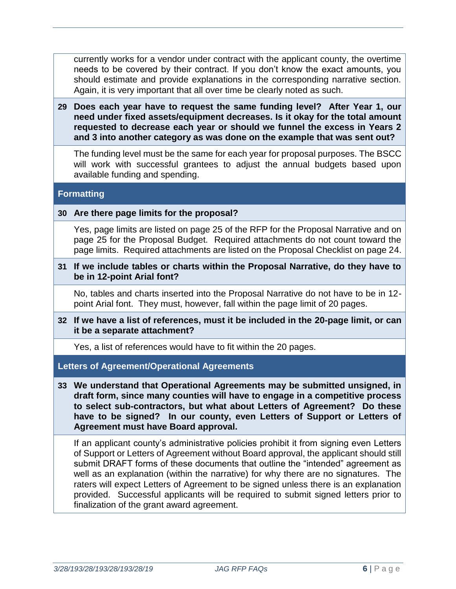currently works for a vendor under contract with the applicant county, the overtime needs to be covered by their contract. If you don't know the exact amounts, you should estimate and provide explanations in the corresponding narrative section. Again, it is very important that all over time be clearly noted as such.

**29 Does each year have to request the same funding level? After Year 1, our need under fixed assets/equipment decreases. Is it okay for the total amount requested to decrease each year or should we funnel the excess in Years 2 and 3 into another category as was done on the example that was sent out?**

The funding level must be the same for each year for proposal purposes. The BSCC will work with successful grantees to adjust the annual budgets based upon available funding and spending.

#### **Formatting**

#### **30 Are there page limits for the proposal?**

Yes, page limits are listed on page 25 of the RFP for the Proposal Narrative and on page 25 for the Proposal Budget. Required attachments do not count toward the page limits. Required attachments are listed on the Proposal Checklist on page 24.

**31 If we include tables or charts within the Proposal Narrative, do they have to be in 12-point Arial font?**

No, tables and charts inserted into the Proposal Narrative do not have to be in 12 point Arial font. They must, however, fall within the page limit of 20 pages.

**32 If we have a list of references, must it be included in the 20-page limit, or can it be a separate attachment?** 

Yes, a list of references would have to fit within the 20 pages.

**Letters of Agreement/Operational Agreements**

**33 We understand that Operational Agreements may be submitted unsigned, in draft form, since many counties will have to engage in a competitive process to select sub-contractors, but what about Letters of Agreement? Do these have to be signed? In our county, even Letters of Support or Letters of Agreement must have Board approval.**

If an applicant county's administrative policies prohibit it from signing even Letters of Support or Letters of Agreement without Board approval, the applicant should still submit DRAFT forms of these documents that outline the "intended" agreement as well as an explanation (within the narrative) for why there are no signatures. The raters will expect Letters of Agreement to be signed unless there is an explanation provided. Successful applicants will be required to submit signed letters prior to finalization of the grant award agreement.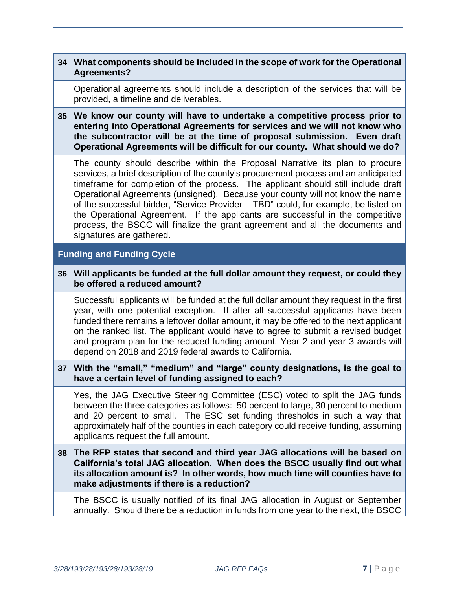# **34 What components should be included in the scope of work for the Operational Agreements?**

Operational agreements should include a description of the services that will be provided, a timeline and deliverables.

**35 We know our county will have to undertake a competitive process prior to entering into Operational Agreements for services and we will not know who the subcontractor will be at the time of proposal submission. Even draft Operational Agreements will be difficult for our county. What should we do?**

The county should describe within the Proposal Narrative its plan to procure services, a brief description of the county's procurement process and an anticipated timeframe for completion of the process. The applicant should still include draft Operational Agreements (unsigned). Because your county will not know the name of the successful bidder, "Service Provider – TBD" could, for example, be listed on the Operational Agreement. If the applicants are successful in the competitive process, the BSCC will finalize the grant agreement and all the documents and signatures are gathered.

# **Funding and Funding Cycle**

**36 Will applicants be funded at the full dollar amount they request, or could they be offered a reduced amount?**

Successful applicants will be funded at the full dollar amount they request in the first year, with one potential exception. If after all successful applicants have been funded there remains a leftover dollar amount, it may be offered to the next applicant on the ranked list. The applicant would have to agree to submit a revised budget and program plan for the reduced funding amount. Year 2 and year 3 awards will depend on 2018 and 2019 federal awards to California.

**37 With the "small," "medium" and "large" county designations, is the goal to have a certain level of funding assigned to each?**

Yes, the JAG Executive Steering Committee (ESC) voted to split the JAG funds between the three categories as follows: 50 percent to large, 30 percent to medium and 20 percent to small. The ESC set funding thresholds in such a way that approximately half of the counties in each category could receive funding, assuming applicants request the full amount.

**38 The RFP states that second and third year JAG allocations will be based on California's total JAG allocation. When does the BSCC usually find out what its allocation amount is? In other words, how much time will counties have to make adjustments if there is a reduction?**

The BSCC is usually notified of its final JAG allocation in August or September annually. Should there be a reduction in funds from one year to the next, the BSCC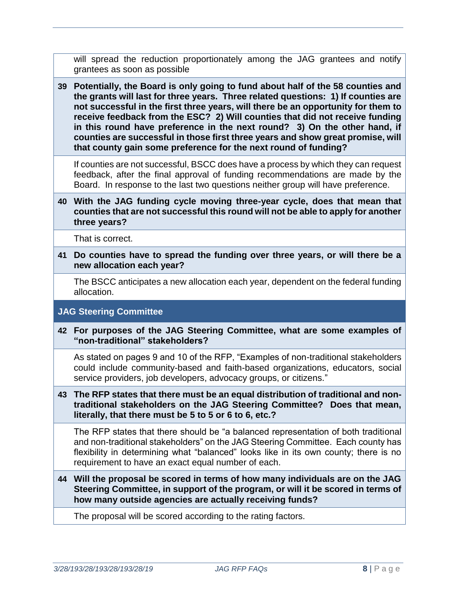will spread the reduction proportionately among the JAG grantees and notify grantees as soon as possible

**39 Potentially, the Board is only going to fund about half of the 58 counties and the grants will last for three years. Three related questions: 1) If counties are not successful in the first three years, will there be an opportunity for them to receive feedback from the ESC? 2) Will counties that did not receive funding in this round have preference in the next round? 3) On the other hand, if counties are successful in those first three years and show great promise, will that county gain some preference for the next round of funding?**

If counties are not successful, BSCC does have a process by which they can request feedback, after the final approval of funding recommendations are made by the Board. In response to the last two questions neither group will have preference.

### **40 With the JAG funding cycle moving three-year cycle, does that mean that counties that are not successful this round will not be able to apply for another three years?**

That is correct.

**41 Do counties have to spread the funding over three years, or will there be a new allocation each year?**

The BSCC anticipates a new allocation each year, dependent on the federal funding allocation.

# **JAG Steering Committee**

**42 For purposes of the JAG Steering Committee, what are some examples of "non-traditional" stakeholders?**

As stated on pages 9 and 10 of the RFP, "Examples of non-traditional stakeholders could include community-based and faith-based organizations, educators, social service providers, job developers, advocacy groups, or citizens."

**43 The RFP states that there must be an equal distribution of traditional and nontraditional stakeholders on the JAG Steering Committee? Does that mean, literally, that there must be 5 to 5 or 6 to 6, etc.?**

The RFP states that there should be "a balanced representation of both traditional and non-traditional stakeholders" on the JAG Steering Committee. Each county has flexibility in determining what "balanced" looks like in its own county; there is no requirement to have an exact equal number of each.

**44 Will the proposal be scored in terms of how many individuals are on the JAG Steering Committee, in support of the program, or will it be scored in terms of how many outside agencies are actually receiving funds?**

The proposal will be scored according to the rating factors.